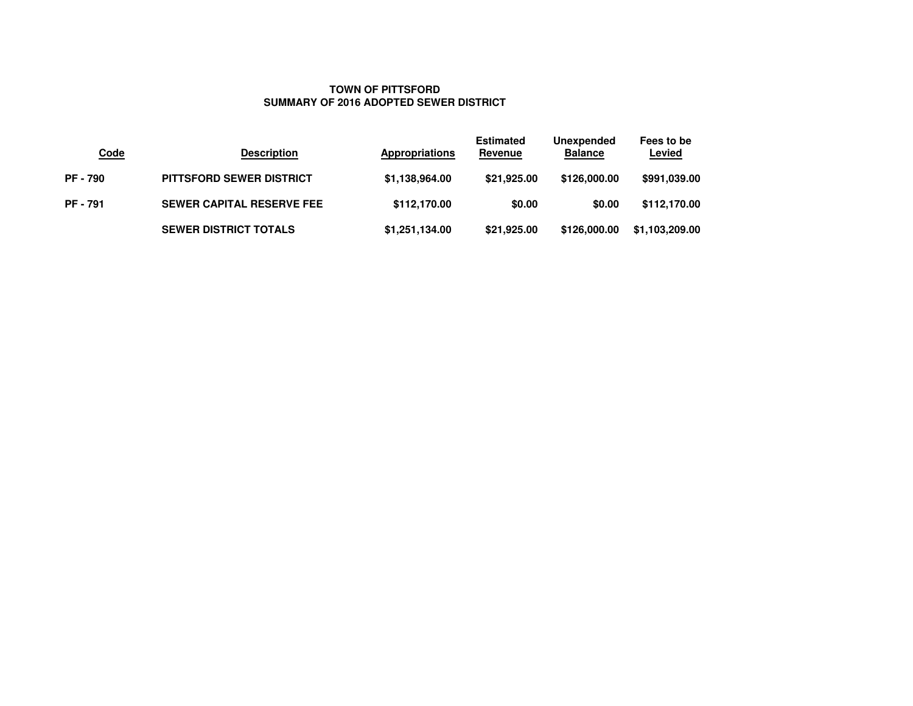# **TOWN OF PITTSFORDSUMMARY OF 2016 ADOPTED SEWER DISTRICT**

| <b>Code</b>   | <b>Description</b>               | <b>Appropriations</b> | <b>Estimated</b><br>Revenue | Unexpended<br><b>Balance</b> | Fees to be<br>Levied |
|---------------|----------------------------------|-----------------------|-----------------------------|------------------------------|----------------------|
| <b>PF-790</b> | <b>PITTSFORD SEWER DISTRICT</b>  | \$1.138,964.00        | \$21,925.00                 | \$126,000.00                 | \$991,039.00         |
| <b>PF-791</b> | <b>SEWER CAPITAL RESERVE FEE</b> | \$112,170.00          | \$0.00                      | \$0.00                       | \$112,170.00         |
|               | <b>SEWER DISTRICT TOTALS</b>     | \$1,251,134.00        | \$21,925.00                 | \$126,000,00                 | \$1.103,209.00       |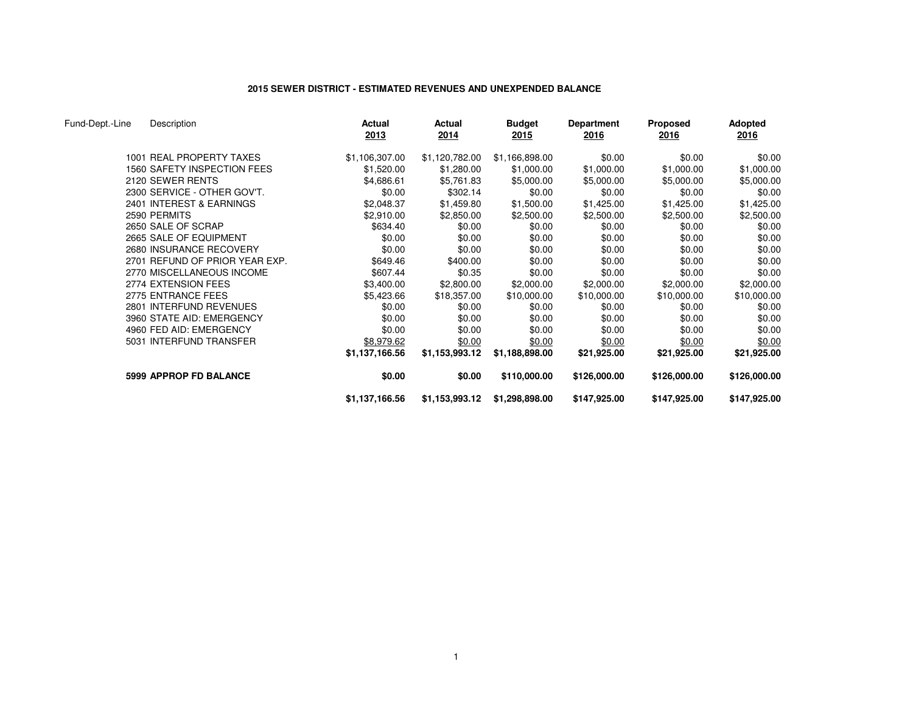## **2015 SEWER DISTRICT - ESTIMATED REVENUES AND UNEXPENDED BALANCE**

| Fund-Dept.-Line | Description                    | Actual<br>2013 | Actual<br>2014 | <b>Budget</b><br>2015 | <b>Department</b><br>2016 | <b>Proposed</b><br><u>2016</u> | <b>Adopted</b><br><u> 2016</u> |
|-----------------|--------------------------------|----------------|----------------|-----------------------|---------------------------|--------------------------------|--------------------------------|
|                 | 1001 REAL PROPERTY TAXES       | \$1,106,307.00 | \$1,120,782.00 | \$1,166,898.00        | \$0.00                    | \$0.00                         | \$0.00                         |
|                 | 1560 SAFETY INSPECTION FEES    | \$1,520.00     | \$1,280.00     | \$1,000.00            | \$1,000.00                | \$1,000.00                     | \$1,000.00                     |
|                 | 2120 SEWER RENTS               | \$4,686.61     | \$5,761.83     | \$5,000.00            | \$5,000.00                | \$5,000.00                     | \$5,000.00                     |
|                 | 2300 SERVICE - OTHER GOV'T.    | \$0.00         | \$302.14       | \$0.00                | \$0.00                    | \$0.00                         | \$0.00                         |
|                 | 2401 INTEREST & EARNINGS       | \$2,048.37     | \$1,459.80     | \$1,500.00            | \$1,425.00                | \$1,425.00                     | \$1,425.00                     |
|                 | 2590 PERMITS                   | \$2,910.00     | \$2,850.00     | \$2,500.00            | \$2,500.00                | \$2,500.00                     | \$2,500.00                     |
|                 | 2650 SALE OF SCRAP             | \$634.40       | \$0.00         | \$0.00                | \$0.00                    | \$0.00                         | \$0.00                         |
|                 | 2665 SALE OF EQUIPMENT         | \$0.00         | \$0.00         | \$0.00                | \$0.00                    | \$0.00                         | \$0.00                         |
|                 | 2680 INSURANCE RECOVERY        | \$0.00         | \$0.00         | \$0.00                | \$0.00                    | \$0.00                         | \$0.00                         |
|                 | 2701 REFUND OF PRIOR YEAR EXP. | \$649.46       | \$400.00       | \$0.00                | \$0.00                    | \$0.00                         | \$0.00                         |
|                 | 2770 MISCELLANEOUS INCOME      | \$607.44       | \$0.35         | \$0.00                | \$0.00                    | \$0.00                         | \$0.00                         |
|                 | 2774 EXTENSION FEES            | \$3,400.00     | \$2,800.00     | \$2,000.00            | \$2,000.00                | \$2,000.00                     | \$2,000.00                     |
|                 | 2775 ENTRANCE FEES             | \$5,423.66     | \$18,357.00    | \$10,000.00           | \$10,000.00               | \$10,000.00                    | \$10,000.00                    |
|                 | 2801 INTERFUND REVENUES        | \$0.00         | \$0.00         | \$0.00                | \$0.00                    | \$0.00                         | \$0.00                         |
|                 | 3960 STATE AID: EMERGENCY      | \$0.00         | \$0.00         | \$0.00                | \$0.00                    | \$0.00                         | \$0.00                         |
|                 | 4960 FED AID: EMERGENCY        | \$0.00         | \$0.00         | \$0.00                | \$0.00                    | \$0.00                         | \$0.00                         |
|                 | 5031 INTERFUND TRANSFER        | \$8,979.62     | \$0.00         | \$0.00                | \$0.00                    | \$0.00                         | \$0.00                         |
|                 |                                | \$1,137,166.56 | \$1,153,993.12 | \$1,188,898.00        | \$21,925.00               | \$21,925.00                    | \$21,925.00                    |
|                 | 5999 APPROP FD BALANCE         | \$0.00         | \$0.00         | \$110,000.00          | \$126,000.00              | \$126,000.00                   | \$126,000.00                   |
|                 |                                | \$1,137,166.56 | \$1,153,993.12 | \$1,298,898.00        | \$147,925.00              | \$147,925.00                   | \$147,925.00                   |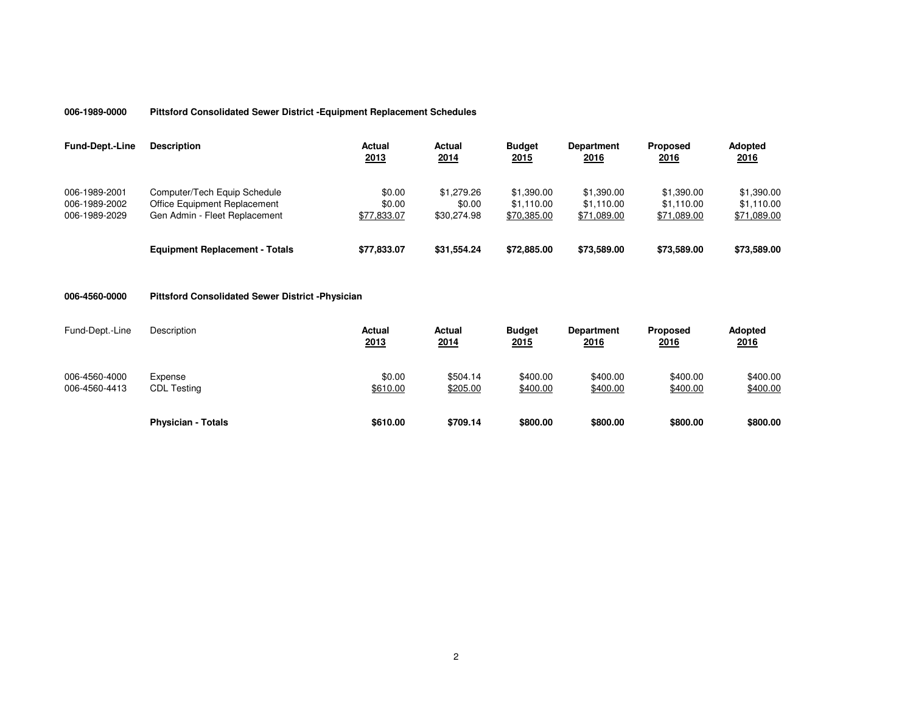## **006-1989-0000Pittsford Consolidated Sewer District -Equipment Replacement Schedules**

| <b>Fund-Dept.-Line</b>                          | <b>Description</b>                                                                            | <b>Actual</b><br>2013           | Actual<br>2014                      | <b>Budget</b><br><u> 2015 </u>          | <b>Department</b><br><u>2016</u>        | <b>Proposed</b><br>2016                 | <b>Adopted</b><br>2016                  |
|-------------------------------------------------|-----------------------------------------------------------------------------------------------|---------------------------------|-------------------------------------|-----------------------------------------|-----------------------------------------|-----------------------------------------|-----------------------------------------|
| 006-1989-2001<br>006-1989-2002<br>006-1989-2029 | Computer/Tech Equip Schedule<br>Office Equipment Replacement<br>Gen Admin - Fleet Replacement | \$0.00<br>\$0.00<br>\$77.833.07 | \$1,279.26<br>\$0.00<br>\$30,274.98 | \$1.390.00<br>\$1.110.00<br>\$70,385.00 | \$1,390.00<br>\$1.110.00<br>\$71,089.00 | \$1,390.00<br>\$1.110.00<br>\$71,089.00 | \$1,390.00<br>\$1,110.00<br>\$71,089.00 |
|                                                 | <b>Equipment Replacement - Totals</b>                                                         | \$77,833.07                     | \$31,554.24                         | \$72,885.00                             | \$73,589,00                             | \$73,589,00                             | \$73,589.00                             |

### **006-4560-0000Pittsford Consolidated Sewer District -Physician**

| Fund-Dept.-Line                | Description                   | <b>Actual</b><br>2013 | Actual<br>2014       | <b>Budget</b><br>2015 | <b>Department</b><br><u> 2016</u> | <b>Proposed</b><br><u>2016</u> | <b>Adopted</b><br>2016 |
|--------------------------------|-------------------------------|-----------------------|----------------------|-----------------------|-----------------------------------|--------------------------------|------------------------|
| 006-4560-4000<br>006-4560-4413 | Expense<br><b>CDL Testing</b> | \$0.00<br>\$610.00    | \$504.14<br>\$205.00 | \$400.00<br>\$400.00  | \$400.00<br>\$400.00              | \$400.00<br>\$400.00           | \$400.00<br>\$400.00   |
|                                | <b>Physician - Totals</b>     | \$610.00              | \$709.14             | \$800.00              | \$800.00                          | \$800.00                       | \$800.00               |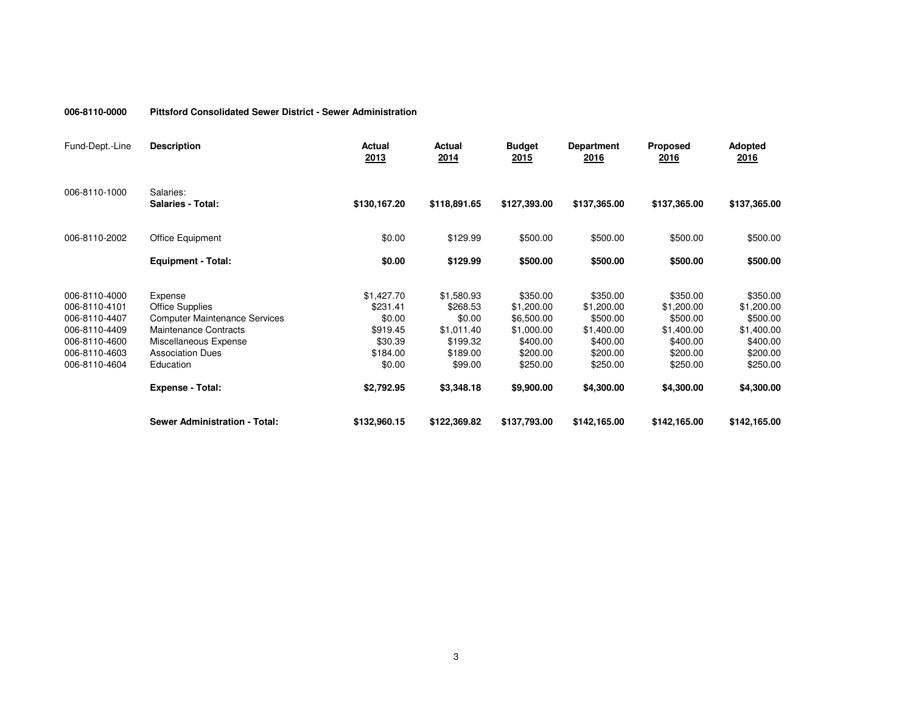#### **006-8110-0000Pittsford Consolidated Sewer District - Sewer Administration**

| Fund-Dept.-Line                                                                                                     | <b>Description</b>                                                                                                                                                         | <b>Actual</b><br>2013                                                         | Actual<br>2014                                                                    | <b>Budget</b><br>2015                                                                  | <b>Department</b><br>2016                                                            | <b>Proposed</b><br>2016                                                              | <b>Adopted</b><br>2016                                                               |
|---------------------------------------------------------------------------------------------------------------------|----------------------------------------------------------------------------------------------------------------------------------------------------------------------------|-------------------------------------------------------------------------------|-----------------------------------------------------------------------------------|----------------------------------------------------------------------------------------|--------------------------------------------------------------------------------------|--------------------------------------------------------------------------------------|--------------------------------------------------------------------------------------|
| 006-8110-1000                                                                                                       | Salaries:<br><b>Salaries - Total:</b>                                                                                                                                      | \$130,167.20                                                                  | \$118,891.65                                                                      | \$127,393.00                                                                           | \$137,365.00                                                                         | \$137,365.00                                                                         | \$137,365.00                                                                         |
| 006-8110-2002                                                                                                       | Office Equipment                                                                                                                                                           | \$0.00                                                                        | \$129.99                                                                          | \$500.00                                                                               | \$500.00                                                                             | \$500.00                                                                             | \$500.00                                                                             |
|                                                                                                                     | <b>Equipment - Total:</b>                                                                                                                                                  | \$0.00                                                                        | \$129.99                                                                          | \$500.00                                                                               | \$500.00                                                                             | \$500.00                                                                             | \$500.00                                                                             |
| 006-8110-4000<br>006-8110-4101<br>006-8110-4407<br>006-8110-4409<br>006-8110-4600<br>006-8110-4603<br>006-8110-4604 | Expense<br><b>Office Supplies</b><br><b>Computer Maintenance Services</b><br><b>Maintenance Contracts</b><br>Miscellaneous Expense<br><b>Association Dues</b><br>Education | \$1,427.70<br>\$231.41<br>\$0.00<br>\$919.45<br>\$30.39<br>\$184.00<br>\$0.00 | \$1,580.93<br>\$268.53<br>\$0.00<br>\$1,011.40<br>\$199.32<br>\$189.00<br>\$99.00 | \$350.00<br>\$1,200.00<br>\$6,500.00<br>\$1,000.00<br>\$400.00<br>\$200.00<br>\$250.00 | \$350.00<br>\$1,200.00<br>\$500.00<br>\$1,400.00<br>\$400.00<br>\$200.00<br>\$250.00 | \$350.00<br>\$1,200.00<br>\$500.00<br>\$1,400.00<br>\$400.00<br>\$200.00<br>\$250.00 | \$350.00<br>\$1,200.00<br>\$500.00<br>\$1,400.00<br>\$400.00<br>\$200.00<br>\$250.00 |
|                                                                                                                     | <b>Expense - Total:</b>                                                                                                                                                    | \$2,792.95                                                                    | \$3,348.18                                                                        | \$9,900.00                                                                             | \$4,300.00                                                                           | \$4,300.00                                                                           | \$4,300.00                                                                           |
|                                                                                                                     | <b>Sewer Administration - Total:</b>                                                                                                                                       | \$132,960.15                                                                  | \$122,369.82                                                                      | \$137,793.00                                                                           | \$142,165.00                                                                         | \$142,165.00                                                                         | \$142,165.00                                                                         |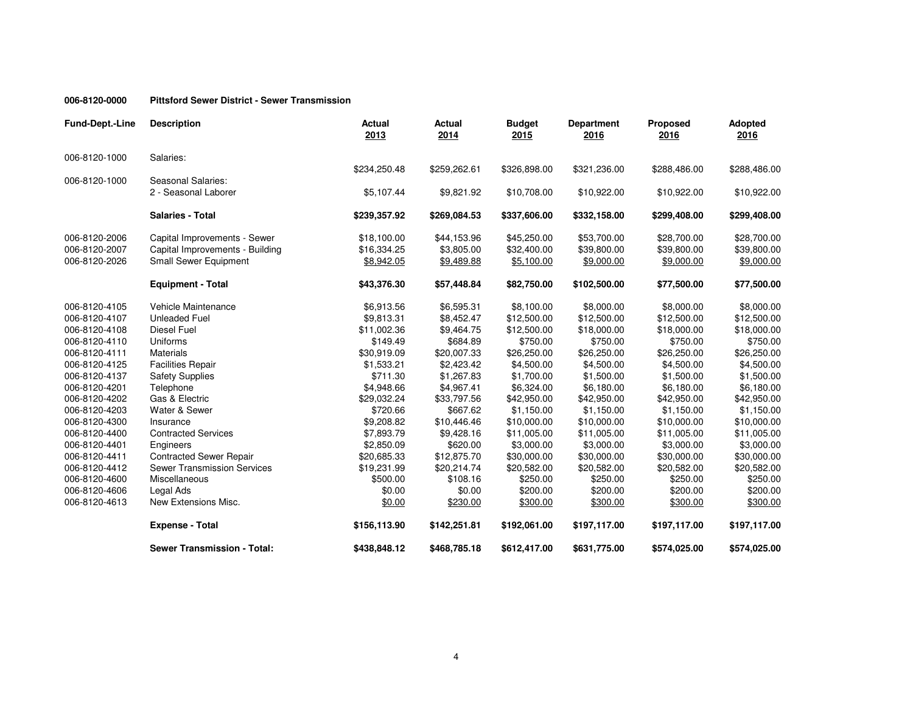#### **006-8120-0000Pittsford Sewer District - Sewer Transmission**

| <b>Fund-Dept.-Line</b> | <b>Description</b>                         | <b>Actual</b><br>2013 | <b>Actual</b><br>2014 | <b>Budget</b><br>2015 | <b>Department</b><br>2016 | <b>Proposed</b><br>2016 | Adopted<br>2016 |
|------------------------|--------------------------------------------|-----------------------|-----------------------|-----------------------|---------------------------|-------------------------|-----------------|
| 006-8120-1000          | Salaries:                                  |                       |                       |                       |                           |                         |                 |
|                        |                                            | \$234,250.48          | \$259,262.61          | \$326,898.00          | \$321,236.00              | \$288,486.00            | \$288,486.00    |
| 006-8120-1000          | Seasonal Salaries:<br>2 - Seasonal Laborer | \$5,107.44            | \$9,821.92            | \$10,708.00           | \$10,922.00               | \$10,922.00             | \$10,922.00     |
|                        | <b>Salaries - Total</b>                    | \$239,357.92          | \$269,084.53          | \$337,606.00          | \$332,158.00              | \$299,408.00            | \$299,408.00    |
| 006-8120-2006          | Capital Improvements - Sewer               | \$18,100.00           | \$44,153.96           | \$45,250.00           | \$53,700.00               | \$28,700.00             | \$28,700.00     |
| 006-8120-2007          | Capital Improvements - Building            | \$16,334.25           | \$3,805.00            | \$32,400.00           | \$39,800.00               | \$39,800.00             | \$39,800.00     |
| 006-8120-2026          | <b>Small Sewer Equipment</b>               | \$8,942.05            | \$9,489.88            | \$5,100.00            | \$9,000.00                | \$9,000.00              | \$9,000.00      |
|                        | <b>Equipment - Total</b>                   | \$43,376.30           | \$57,448.84           | \$82,750.00           | \$102,500.00              | \$77,500.00             | \$77,500.00     |
| 006-8120-4105          | Vehicle Maintenance                        | \$6,913.56            | \$6,595.31            | \$8,100.00            | \$8,000.00                | \$8,000.00              | \$8,000.00      |
| 006-8120-4107          | <b>Unleaded Fuel</b>                       | \$9,813.31            | \$8,452.47            | \$12,500.00           | \$12,500.00               | \$12,500.00             | \$12,500.00     |
| 006-8120-4108          | <b>Diesel Fuel</b>                         | \$11,002.36           | \$9,464.75            | \$12,500.00           | \$18,000.00               | \$18,000.00             | \$18,000.00     |
| 006-8120-4110          | Uniforms                                   | \$149.49              | \$684.89              | \$750.00              | \$750.00                  | \$750.00                | \$750.00        |
| 006-8120-4111          | <b>Materials</b>                           | \$30,919.09           | \$20,007.33           | \$26,250.00           | \$26,250.00               | \$26,250.00             | \$26,250.00     |
| 006-8120-4125          | <b>Facilities Repair</b>                   | \$1,533.21            | \$2,423.42            | \$4,500.00            | \$4,500.00                | \$4,500.00              | \$4,500.00      |
| 006-8120-4137          | <b>Safety Supplies</b>                     | \$711.30              | \$1,267.83            | \$1,700.00            | \$1,500.00                | \$1,500.00              | \$1,500.00      |
| 006-8120-4201          | Telephone                                  | \$4,948.66            | \$4,967.41            | \$6,324.00            | \$6,180.00                | \$6,180.00              | \$6,180.00      |
| 006-8120-4202          | Gas & Electric                             | \$29,032.24           | \$33,797.56           | \$42,950.00           | \$42,950.00               | \$42,950.00             | \$42,950.00     |
| 006-8120-4203          | Water & Sewer                              | \$720.66              | \$667.62              | \$1,150.00            | \$1,150.00                | \$1,150.00              | \$1,150.00      |
| 006-8120-4300          | Insurance                                  | \$9,208.82            | \$10,446.46           | \$10,000.00           | \$10,000.00               | \$10,000.00             | \$10,000.00     |
| 006-8120-4400          | <b>Contracted Services</b>                 | \$7,893.79            | \$9,428.16            | \$11,005.00           | \$11,005.00               | \$11,005.00             | \$11,005.00     |
| 006-8120-4401          | Engineers                                  | \$2,850.09            | \$620.00              | \$3,000.00            | \$3,000.00                | \$3,000.00              | \$3,000.00      |
| 006-8120-4411          | <b>Contracted Sewer Repair</b>             | \$20,685.33           | \$12,875.70           | \$30,000.00           | \$30,000.00               | \$30,000.00             | \$30,000.00     |
| 006-8120-4412          | <b>Sewer Transmission Services</b>         | \$19,231.99           | \$20,214.74           | \$20,582.00           | \$20,582.00               | \$20,582.00             | \$20,582.00     |
| 006-8120-4600          | Miscellaneous                              | \$500.00              | \$108.16              | \$250.00              | \$250.00                  | \$250.00                | \$250.00        |
| 006-8120-4606          | Legal Ads                                  | \$0.00                | \$0.00                | \$200.00              | \$200.00                  | \$200.00                | \$200.00        |
| 006-8120-4613          | New Extensions Misc.                       | \$0.00                | \$230.00              | \$300.00              | \$300.00                  | \$300.00                | \$300.00        |
|                        | <b>Expense - Total</b>                     | \$156,113.90          | \$142,251.81          | \$192,061.00          | \$197,117.00              | \$197,117.00            | \$197,117.00    |
|                        | <b>Sewer Transmission - Total:</b>         | \$438,848.12          | \$468,785.18          | \$612,417.00          | \$631,775.00              | \$574,025.00            | \$574,025.00    |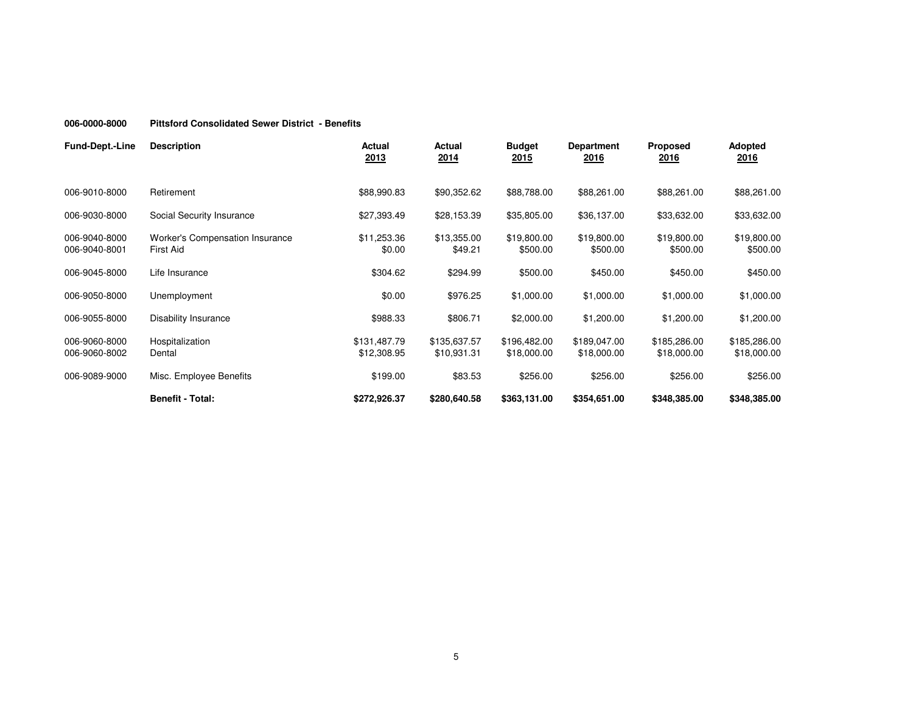#### **006-0000-8000Pittsford Consolidated Sewer District - Benefits**

| <b>Fund-Dept.-Line</b>         | <b>Description</b>                           | Actual<br>2013              | Actual<br>2014              | <b>Budget</b><br><u>2015</u> | <b>Department</b><br><u>2016</u> | <b>Proposed</b><br><u>2016</u> | <b>Adopted</b><br><u> 2016</u> |
|--------------------------------|----------------------------------------------|-----------------------------|-----------------------------|------------------------------|----------------------------------|--------------------------------|--------------------------------|
| 006-9010-8000                  | Retirement                                   | \$88,990.83                 | \$90,352.62                 | \$88,788.00                  | \$88,261.00                      | \$88,261.00                    | \$88,261.00                    |
| 006-9030-8000                  | Social Security Insurance                    | \$27,393.49                 | \$28,153.39                 | \$35,805.00                  | \$36,137.00                      | \$33,632.00                    | \$33,632.00                    |
| 006-9040-8000<br>006-9040-8001 | Worker's Compensation Insurance<br>First Aid | \$11,253.36<br>\$0.00       | \$13,355.00<br>\$49.21      | \$19,800.00<br>\$500.00      | \$19,800.00<br>\$500.00          | \$19,800.00<br>\$500.00        | \$19,800.00<br>\$500.00        |
| 006-9045-8000                  | Life Insurance                               | \$304.62                    | \$294.99                    | \$500.00                     | \$450.00                         | \$450.00                       | \$450.00                       |
| 006-9050-8000                  | Unemployment                                 | \$0.00                      | \$976.25                    | \$1,000.00                   | \$1,000.00                       | \$1,000.00                     | \$1,000.00                     |
| 006-9055-8000                  | Disability Insurance                         | \$988.33                    | \$806.71                    | \$2,000.00                   | \$1,200.00                       | \$1,200.00                     | \$1,200.00                     |
| 006-9060-8000<br>006-9060-8002 | Hospitalization<br>Dental                    | \$131,487.79<br>\$12,308.95 | \$135,637.57<br>\$10,931.31 | \$196,482.00<br>\$18,000.00  | \$189,047.00<br>\$18,000.00      | \$185,286.00<br>\$18,000.00    | \$185,286.00<br>\$18,000.00    |
| 006-9089-9000                  | Misc. Employee Benefits                      | \$199.00                    | \$83.53                     | \$256.00                     | \$256.00                         | \$256.00                       | \$256.00                       |
|                                | <b>Benefit - Total:</b>                      | \$272,926.37                | \$280,640.58                | \$363,131.00                 | \$354,651.00                     | \$348,385.00                   | \$348,385.00                   |